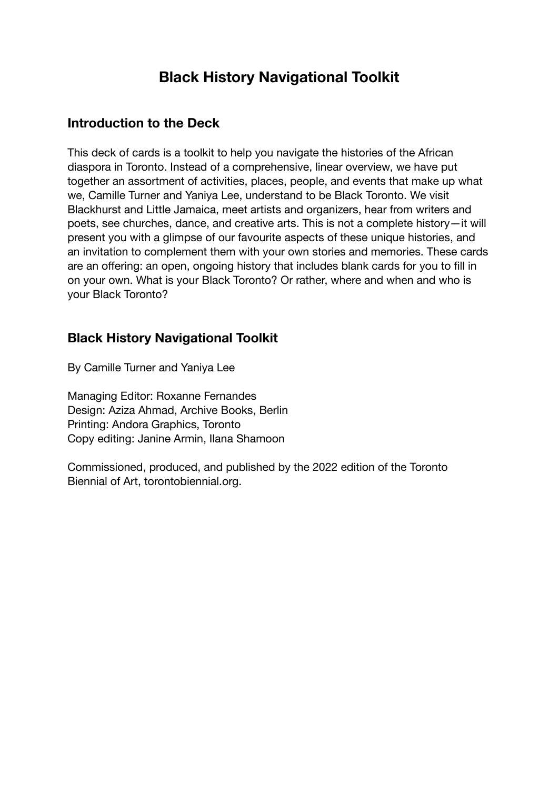# **Black History Navigational Toolkit**

### **Introduction to the Deck**

This deck of cards is a toolkit to help you navigate the histories of the African diaspora in Toronto. Instead of a comprehensive, linear overview, we have put together an assortment of activities, places, people, and events that make up what we, Camille Turner and Yaniya Lee, understand to be Black Toronto. We visit Blackhurst and Little Jamaica, meet artists and organizers, hear from writers and poets, see churches, dance, and creative arts. This is not a complete history—it will present you with a glimpse of our favourite aspects of these unique histories, and an invitation to complement them with your own stories and memories. These cards are an offering: an open, ongoing history that includes blank cards for you to fill in on your own. What is your Black Toronto? Or rather, where and when and who is your Black Toronto?

### **Black History Navigational Toolkit**

By Camille Turner and Yaniya Lee

Managing Editor: Roxanne Fernandes Design: Aziza Ahmad, Archive Books, Berlin Printing: Andora Graphics, Toronto Copy editing: Janine Armin, Ilana Shamoon

Commissioned, produced, and published by the 2022 edition of the Toronto Biennial of Art, torontobiennial.org.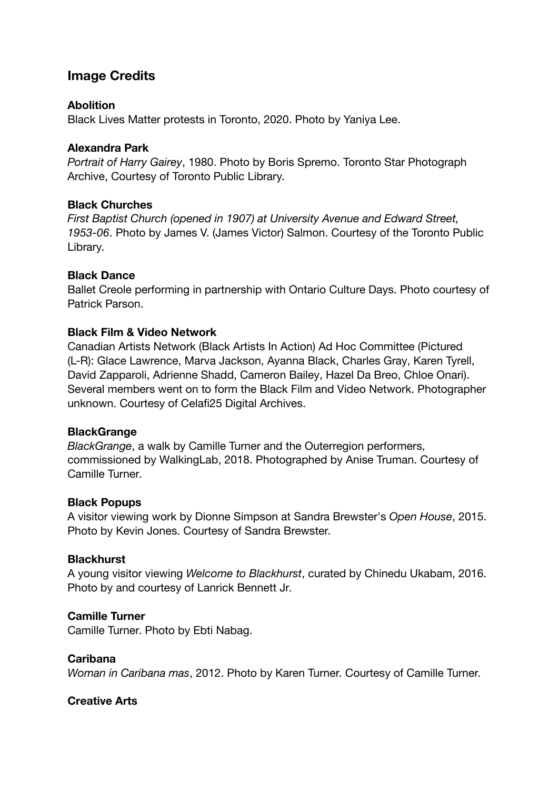### **Image Credits**

#### **Abolition**

Black Lives Matter protests in Toronto, 2020. Photo by Yaniya Lee.

#### **Alexandra Park**

*Portrait of Harry Gairey*, 1980. Photo by Boris Spremo. Toronto Star Photograph Archive, Courtesy of Toronto Public Library.

#### **Black Churches**

*First Baptist Church (opened in 1907) at University Avenue and Edward Street, 1953-06*. Photo by James V. (James Victor) Salmon. Courtesy of the Toronto Public Library.

#### **Black Dance**

Ballet Creole performing in partnership with Ontario Culture Days. Photo courtesy of Patrick Parson.

#### **Black Film & Video Network**

Canadian Artists Network (Black Artists In Action) Ad Hoc Committee (Pictured (L-R): Glace Lawrence, Marva Jackson, Ayanna Black, Charles Gray, Karen Tyrell, David Zapparoli, Adrienne Shadd, Cameron Bailey, Hazel Da Breo, Chloe Onari). Several members went on to form the Black Film and Video Network. Photographer unknown. Courtesy of Celafi25 Digital Archives.

#### **BlackGrange**

*BlackGrange*, a walk by Camille Turner and the Outerregion performers, commissioned by WalkingLab, 2018. Photographed by Anise Truman. Courtesy of Camille Turner.

#### **Black Popups**

A visitor viewing work by Dionne Simpson at Sandra Brewster's *Open House*, 2015. Photo by Kevin Jones. Courtesy of Sandra Brewster.

#### **Blackhurst**

A young visitor viewing *Welcome to Blackhurst*, curated by Chinedu Ukabam, 2016. Photo by and courtesy of Lanrick Bennett Jr.

#### **Camille Turner**

Camille Turner. Photo by Ebti Nabag.

#### **Caribana**

*Woman in Caribana mas*, 2012. Photo by Karen Turner. Courtesy of Camille Turner.

#### **Creative Arts**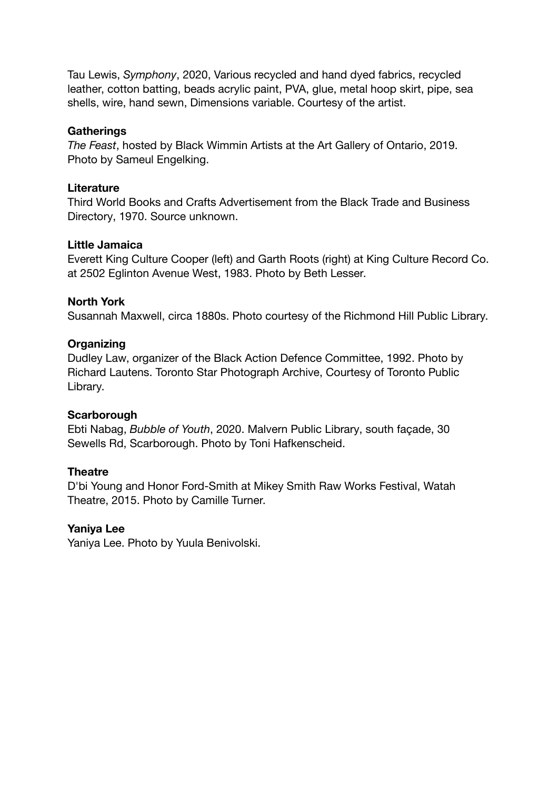Tau Lewis, *Symphony*, 2020, Various recycled and hand dyed fabrics, recycled leather, cotton batting, beads acrylic paint, PVA, glue, metal hoop skirt, pipe, sea shells, wire, hand sewn, Dimensions variable. Courtesy of the artist.

#### **Gatherings**

*The Feast*, hosted by Black Wimmin Artists at the Art Gallery of Ontario, 2019. Photo by Sameul Engelking.

#### **Literature**

Third World Books and Crafts Advertisement from the Black Trade and Business Directory, 1970. Source unknown.

#### **Little Jamaica**

Everett King Culture Cooper (left) and Garth Roots (right) at King Culture Record Co. at 2502 Eglinton Avenue West, 1983. Photo by Beth Lesser.

#### **North York**

Susannah Maxwell, circa 1880s. Photo courtesy of the Richmond Hill Public Library.

#### **Organizing**

Dudley Law, organizer of the Black Action Defence Committee, 1992. Photo by Richard Lautens. Toronto Star Photograph Archive, Courtesy of Toronto Public Library.

#### **Scarborough**

Ebti Nabag, *Bubble of Youth*, 2020. Malvern Public Library, south façade, 30 Sewells Rd, Scarborough. Photo by Toni Hafkenscheid.

#### **Theatre**

D'bi Young and Honor Ford-Smith at Mikey Smith Raw Works Festival, Watah Theatre, 2015. Photo by Camille Turner.

#### **Yaniya Lee**

Yaniya Lee. Photo by Yuula Benivolski.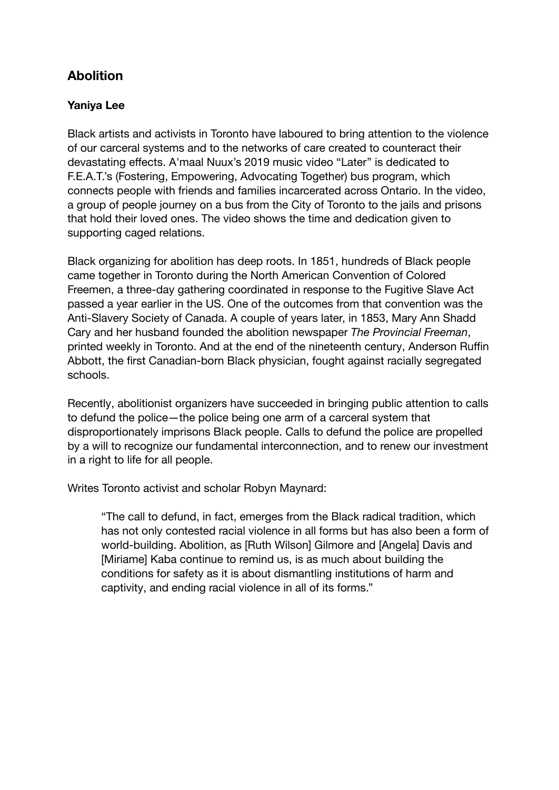## **Abolition**

#### **Yaniya Lee**

Black artists and activists in Toronto have laboured to bring attention to the violence of our carceral systems and to the networks of care created to counteract their devastating effects. A'maal Nuux's 2019 music video "Later" is dedicated to F.E.A.T.'s (Fostering, Empowering, Advocating Together) bus program, which connects people with friends and families incarcerated across Ontario. In the video, a group of people journey on a bus from the City of Toronto to the jails and prisons that hold their loved ones. The video shows the time and dedication given to supporting caged relations.

Black organizing for abolition has deep roots. In 1851, hundreds of Black people came together in Toronto during the North American Convention of Colored Freemen, a three-day gathering coordinated in response to the Fugitive Slave Act passed a year earlier in the US. One of the outcomes from that convention was the Anti-Slavery Society of Canada. A couple of years later, in 1853, Mary Ann Shadd Cary and her husband founded the abolition newspaper *The Provincial Freeman*, printed weekly in Toronto. And at the end of the nineteenth century, Anderson Ruffin Abbott, the first Canadian-born Black physician, fought against racially segregated schools.

Recently, abolitionist organizers have succeeded in bringing public attention to calls to defund the police—the police being one arm of a carceral system that disproportionately imprisons Black people. Calls to defund the police are propelled by a will to recognize our fundamental interconnection, and to renew our investment in a right to life for all people.

Writes Toronto activist and scholar Robyn Maynard:

"The call to defund, in fact, emerges from the Black radical tradition, which has not only contested racial violence in all forms but has also been a form of world-building. Abolition, as [Ruth Wilson] Gilmore and [Angela] Davis and [Miriame] Kaba continue to remind us, is as much about building the conditions for safety as it is about dismantling institutions of harm and captivity, and ending racial violence in all of its forms."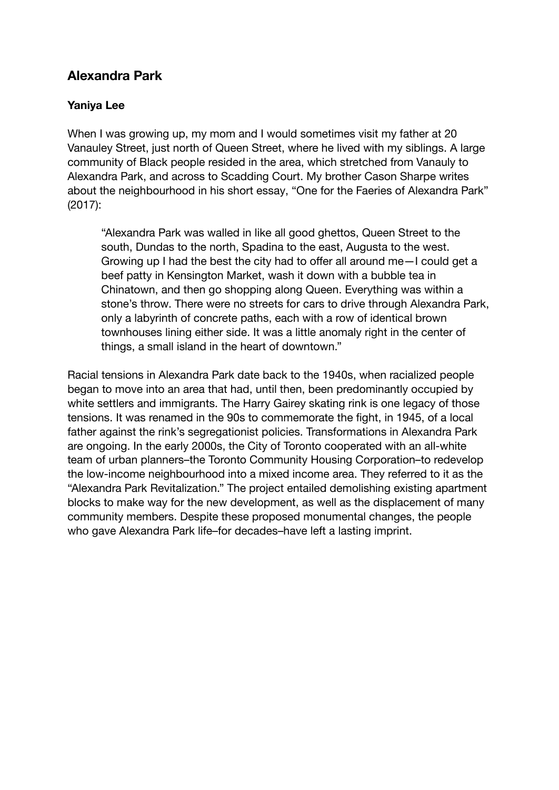## **Alexandra Park**

### **Yaniya Lee**

When I was growing up, my mom and I would sometimes visit my father at 20 Vanauley Street, just north of Queen Street, where he lived with my siblings. A large community of Black people resided in the area, which stretched from Vanauly to Alexandra Park, and across to Scadding Court. My brother Cason Sharpe writes about the neighbourhood in his short essay, "One for the Faeries of Alexandra Park" (2017):

"Alexandra Park was walled in like all good ghettos, Queen Street to the south, Dundas to the north, Spadina to the east, Augusta to the west. Growing up I had the best the city had to offer all around me—I could get a beef patty in Kensington Market, wash it down with a bubble tea in Chinatown, and then go shopping along Queen. Everything was within a stone's throw. There were no streets for cars to drive through Alexandra Park, only a labyrinth of concrete paths, each with a row of identical brown townhouses lining either side. It was a little anomaly right in the center of things, a small island in the heart of downtown."

Racial tensions in Alexandra Park date back to the 1940s, when racialized people began to move into an area that had, until then, been predominantly occupied by white settlers and immigrants. The Harry Gairey skating rink is one legacy of those tensions. It was renamed in the 90s to commemorate the fight, in 1945, of a local father against the rink's segregationist policies. Transformations in Alexandra Park are ongoing. In the early 2000s, the City of Toronto cooperated with an all-white team of urban planners–the Toronto Community Housing Corporation–to redevelop the low-income neighbourhood into a mixed income area. They referred to it as the "Alexandra Park Revitalization." The project entailed demolishing existing apartment blocks to make way for the new development, as well as the displacement of many community members. Despite these proposed monumental changes, the people who gave Alexandra Park life–for decades–have left a lasting imprint.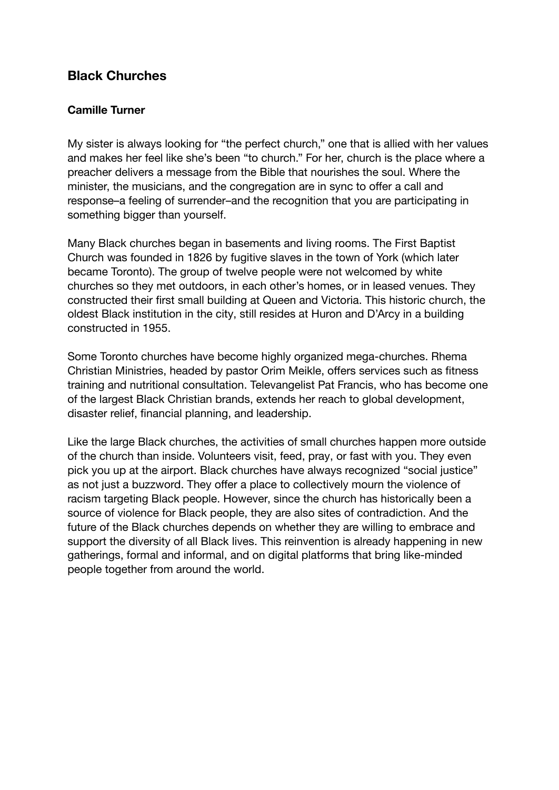### **Black Churches**

#### **Camille Turner**

My sister is always looking for "the perfect church," one that is allied with her values and makes her feel like she's been "to church." For her, church is the place where a preacher delivers a message from the Bible that nourishes the soul. Where the minister, the musicians, and the congregation are in sync to offer a call and response–a feeling of surrender–and the recognition that you are participating in something bigger than yourself.

Many Black churches began in basements and living rooms. The First Baptist Church was founded in 1826 by fugitive slaves in the town of York (which later became Toronto). The group of twelve people were not welcomed by white churches so they met outdoors, in each other's homes, or in leased venues. They constructed their first small building at Queen and Victoria. This historic church, the oldest Black institution in the city, still resides at Huron and D'Arcy in a building constructed in 1955.

Some Toronto churches have become highly organized mega-churches. Rhema Christian Ministries, headed by pastor Orim Meikle, offers services such as fitness training and nutritional consultation. Televangelist Pat Francis, who has become one of the largest Black Christian brands, extends her reach to global development, disaster relief, financial planning, and leadership.

Like the large Black churches, the activities of small churches happen more outside of the church than inside. Volunteers visit, feed, pray, or fast with you. They even pick you up at the airport. Black churches have always recognized "social justice" as not just a buzzword. They offer a place to collectively mourn the violence of racism targeting Black people. However, since the church has historically been a source of violence for Black people, they are also sites of contradiction. And the future of the Black churches depends on whether they are willing to embrace and support the diversity of all Black lives. This reinvention is already happening in new gatherings, formal and informal, and on digital platforms that bring like-minded people together from around the world.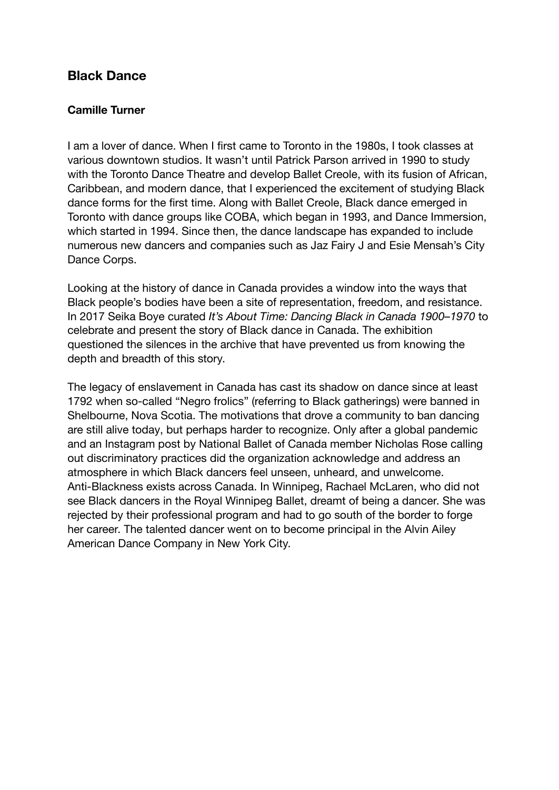### **Black Dance**

#### **Camille Turner**

I am a lover of dance. When I first came to Toronto in the 1980s, I took classes at various downtown studios. It wasn't until Patrick Parson arrived in 1990 to study with the Toronto Dance Theatre and develop Ballet Creole, with its fusion of African, Caribbean, and modern dance, that I experienced the excitement of studying Black dance forms for the first time. Along with Ballet Creole, Black dance emerged in Toronto with dance groups like COBA, which began in 1993, and Dance Immersion, which started in 1994. Since then, the dance landscape has expanded to include numerous new dancers and companies such as Jaz Fairy J and Esie Mensah's City Dance Corps.

Looking at the history of dance in Canada provides a window into the ways that Black people's bodies have been a site of representation, freedom, and resistance. In 2017 Seika Boye curated *It's About Time: Dancing Black in Canada 1900–1970* to celebrate and present the story of Black dance in Canada. The exhibition questioned the silences in the archive that have prevented us from knowing the depth and breadth of this story.

The legacy of enslavement in Canada has cast its shadow on dance since at least 1792 when so-called "Negro frolics" (referring to Black gatherings) were banned in Shelbourne, Nova Scotia. The motivations that drove a community to ban dancing are still alive today, but perhaps harder to recognize. Only after a global pandemic and an Instagram post by National Ballet of Canada member Nicholas Rose calling out discriminatory practices did the organization acknowledge and address an atmosphere in which Black dancers feel unseen, unheard, and unwelcome. Anti-Blackness exists across Canada. In Winnipeg, Rachael McLaren, who did not see Black dancers in the Royal Winnipeg Ballet, dreamt of being a dancer. She was rejected by their professional program and had to go south of the border to forge her career. The talented dancer went on to become principal in the Alvin Ailey American Dance Company in New York City.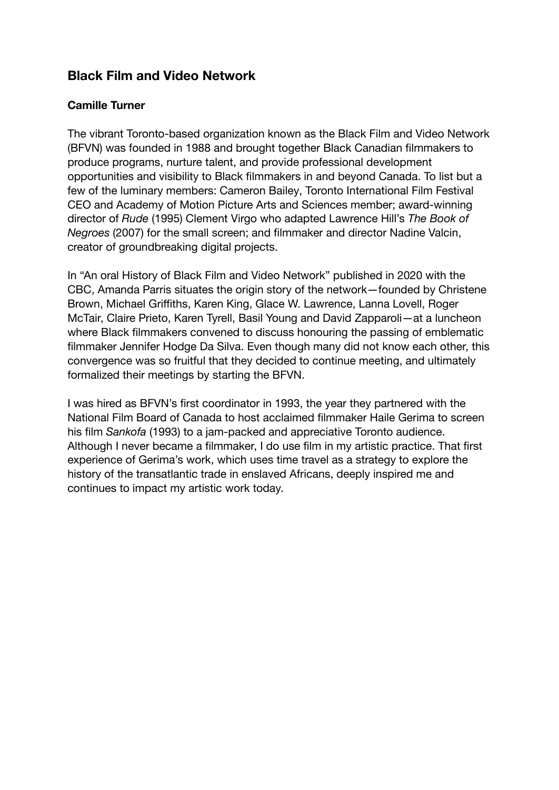### **Black Film and Video Network**

#### **Camille Turner**

The vibrant Toronto-based organization known as the Black Film and Video Network (BFVN) was founded in 1988 and brought together Black Canadian filmmakers to produce programs, nurture talent, and provide professional development opportunities and visibility to Black filmmakers in and beyond Canada. To list but a few of the luminary members: Cameron Bailey, Toronto International Film Festival CEO and Academy of Motion Picture Arts and Sciences member; award-winning director of *Rude* (1995) Clement Virgo who adapted Lawrence Hill's *The Book of Negroes* (2007) for the small screen; and filmmaker and director Nadine Valcin, creator of groundbreaking digital projects.

In "An oral History of Black Film and Video Network" published in 2020 with the CBC, Amanda Parris situates the origin story of the network—founded by Christene Brown, Michael Griffiths, Karen King, Glace W. Lawrence, Lanna Lovell, Roger McTair, Claire Prieto, Karen Tyrell, Basil Young and David Zapparoli—at a luncheon where Black filmmakers convened to discuss honouring the passing of emblematic filmmaker Jennifer Hodge Da Silva. Even though many did not know each other, this convergence was so fruitful that they decided to continue meeting, and ultimately formalized their meetings by starting the BFVN.

I was hired as BFVN's first coordinator in 1993, the year they partnered with the National Film Board of Canada to host acclaimed filmmaker Haile Gerima to screen his film *Sankofa* (1993) to a jam-packed and appreciative Toronto audience. Although I never became a filmmaker, I do use film in my artistic practice. That first experience of Gerima's work, which uses time travel as a strategy to explore the history of the transatlantic trade in enslaved Africans, deeply inspired me and continues to impact my artistic work today.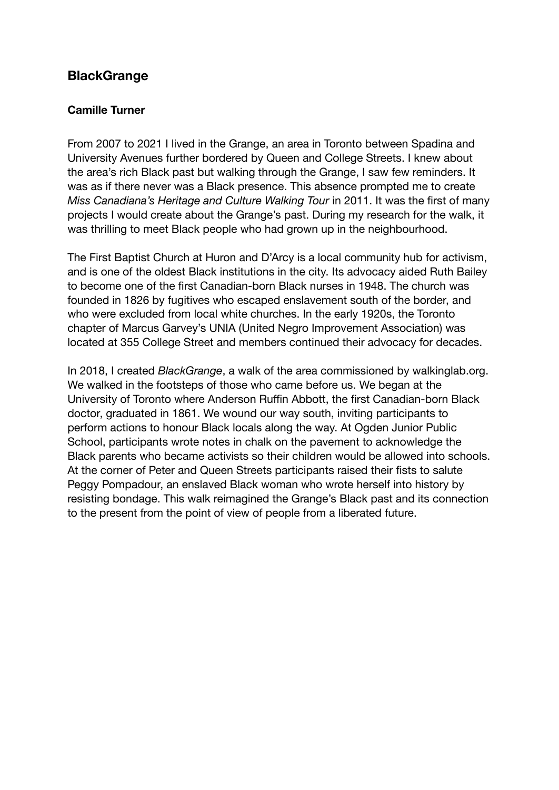### **BlackGrange**

#### **Camille Turner**

From 2007 to 2021 I lived in the Grange, an area in Toronto between Spadina and University Avenues further bordered by Queen and College Streets. I knew about the area's rich Black past but walking through the Grange, I saw few reminders. It was as if there never was a Black presence. This absence prompted me to create *Miss Canadiana's Heritage and Culture Walking Tour* in 2011. It was the first of many projects I would create about the Grange's past. During my research for the walk, it was thrilling to meet Black people who had grown up in the neighbourhood.

The First Baptist Church at Huron and D'Arcy is a local community hub for activism, and is one of the oldest Black institutions in the city. Its advocacy aided Ruth Bailey to become one of the first Canadian-born Black nurses in 1948. The church was founded in 1826 by fugitives who escaped enslavement south of the border, and who were excluded from local white churches. In the early 1920s, the Toronto chapter of Marcus Garvey's UNIA (United Negro Improvement Association) was located at 355 College Street and members continued their advocacy for decades.

In 2018, I created *BlackGrange*, a walk of the area commissioned by walkinglab.org. We walked in the footsteps of those who came before us. We began at the University of Toronto where Anderson Ruffin Abbott, the first Canadian-born Black doctor, graduated in 1861. We wound our way south, inviting participants to perform actions to honour Black locals along the way. At Ogden Junior Public School, participants wrote notes in chalk on the pavement to acknowledge the Black parents who became activists so their children would be allowed into schools. At the corner of Peter and Queen Streets participants raised their fists to salute Peggy Pompadour, an enslaved Black woman who wrote herself into history by resisting bondage. This walk reimagined the Grange's Black past and its connection to the present from the point of view of people from a liberated future.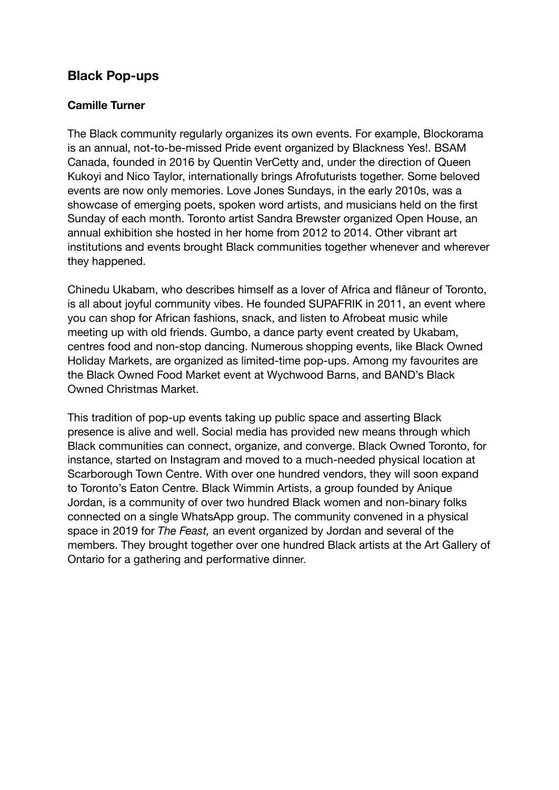### **Black Pop-ups**

#### **Camille Turner**

The Black community regularly organizes its own events. For example, Blockorama is an annual, not-to-be-missed Pride event organized by Blackness Yes!. BSAM Canada, founded in 2016 by Quentin VerCetty and, under the direction of Queen Kukoyi and Nico Taylor, internationally brings Afrofuturists together. Some beloved events are now only memories. Love Jones Sundays, in the early 2010s, was a showcase of emerging poets, spoken word artists, and musicians held on the first Sunday of each month. Toronto artist Sandra Brewster organized Open House, an annual exhibition she hosted in her home from 2012 to 2014. Other vibrant art institutions and events brought Black communities together whenever and wherever they happened.

Chinedu Ukabam, who describes himself as a lover of Africa and flâneur of Toronto, is all about joyful community vibes. He founded SUPAFRIK in 2011, an event where you can shop for African fashions, snack, and listen to Afrobeat music while meeting up with old friends. Gumbo, a dance party event created by Ukabam, centres food and non-stop dancing. Numerous shopping events, like Black Owned Holiday Markets, are organized as limited-time pop-ups. Among my favourites are the Black Owned Food Market event at Wychwood Barns, and BAND's Black Owned Christmas Market.

This tradition of pop-up events taking up public space and asserting Black presence is alive and well. Social media has provided new means through which Black communities can connect, organize, and converge. Black Owned Toronto, for instance, started on Instagram and moved to a much-needed physical location at Scarborough Town Centre. With over one hundred vendors, they will soon expand to Toronto's Eaton Centre. Black Wimmin Artists, a group founded by Anique Jordan, is a community of over two hundred Black women and non-binary folks connected on a single WhatsApp group. The community convened in a physical space in 2019 for *The Feast,* an event organized by Jordan and several of the members. They brought together over one hundred Black artists at the Art Gallery of Ontario for a gathering and performative dinner.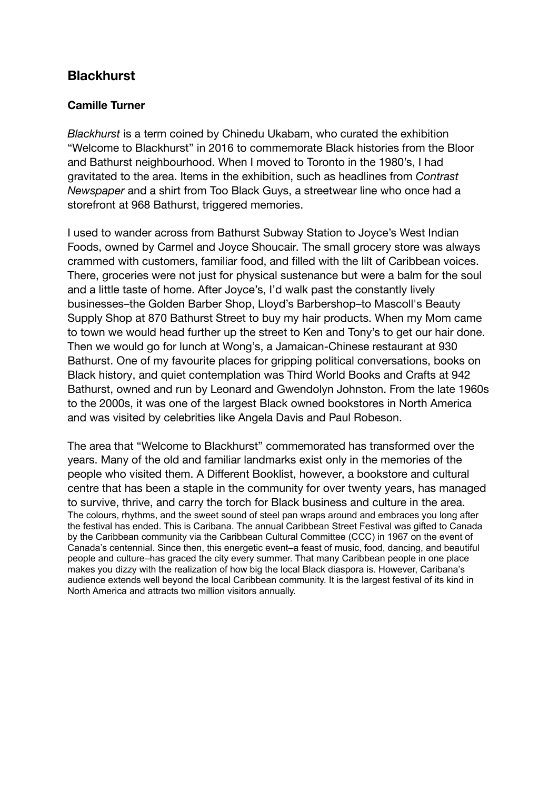### **Blackhurst**

#### **Camille Turner**

*Blackhurst* is a term coined by Chinedu Ukabam, who curated the exhibition "Welcome to Blackhurst" in 2016 to commemorate Black histories from the Bloor and Bathurst neighbourhood. When I moved to Toronto in the 1980's, I had gravitated to the area. Items in the exhibition, such as headlines from *Contrast Newspaper* and a shirt from Too Black Guys, a streetwear line who once had a storefront at 968 Bathurst, triggered memories.

I used to wander across from Bathurst Subway Station to Joyce's West Indian Foods, owned by Carmel and Joyce Shoucair. The small grocery store was always crammed with customers, familiar food, and filled with the lilt of Caribbean voices. There, groceries were not just for physical sustenance but were a balm for the soul and a little taste of home. After Joyce's, I'd walk past the constantly lively businesses–the Golden Barber Shop, Lloyd's Barbershop–to Mascoll's Beauty Supply Shop at 870 Bathurst Street to buy my hair products. When my Mom came to town we would head further up the street to Ken and Tony's to get our hair done. Then we would go for lunch at Wong's, a Jamaican-Chinese restaurant at 930 Bathurst. One of my favourite places for gripping political conversations, books on Black history, and quiet contemplation was Third World Books and Crafts at 942 Bathurst, owned and run by Leonard and Gwendolyn Johnston. From the late 1960s to the 2000s, it was one of the largest Black owned bookstores in North America and was visited by celebrities like Angela Davis and Paul Robeson.

The area that "Welcome to Blackhurst" commemorated has transformed over the years. Many of the old and familiar landmarks exist only in the memories of the people who visited them. A Different Booklist, however, a bookstore and cultural centre that has been a staple in the community for over twenty years, has managed to survive, thrive, and carry the torch for Black business and culture in the area. The colours, rhythms, and the sweet sound of steel pan wraps around and embraces you long after the festival has ended. This is Caribana. The annual Caribbean Street Festival was gifted to Canada by the Caribbean community via the Caribbean Cultural Committee (CCC) in 1967 on the event of Canada's centennial. Since then, this energetic event–a feast of music, food, dancing, and beautiful people and culture–has graced the city every summer. That many Caribbean people in one place makes you dizzy with the realization of how big the local Black diaspora is. However, Caribana's audience extends well beyond the local Caribbean community. It is the largest festival of its kind in North America and attracts two million visitors annually.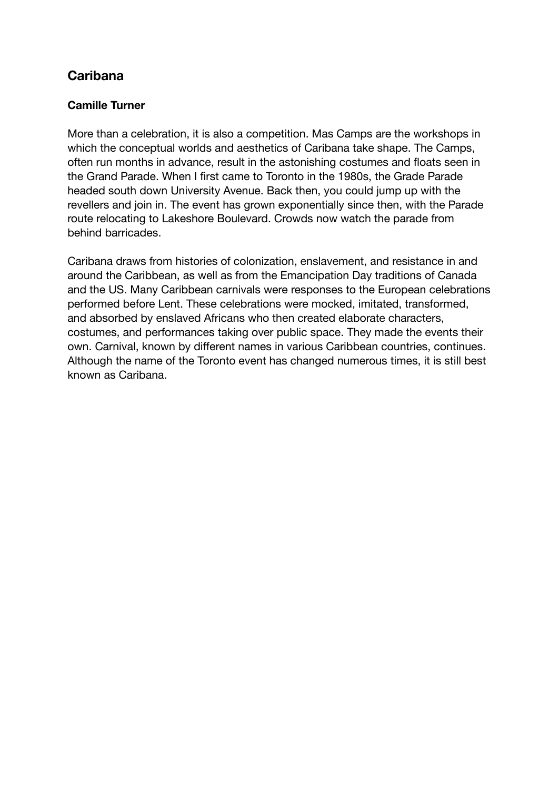## **Caribana**

### **Camille Turner**

More than a celebration, it is also a competition. Mas Camps are the workshops in which the conceptual worlds and aesthetics of Caribana take shape. The Camps, often run months in advance, result in the astonishing costumes and floats seen in the Grand Parade. When I first came to Toronto in the 1980s, the Grade Parade headed south down University Avenue. Back then, you could jump up with the revellers and join in. The event has grown exponentially since then, with the Parade route relocating to Lakeshore Boulevard. Crowds now watch the parade from behind barricades.

Caribana draws from histories of colonization, enslavement, and resistance in and around the Caribbean, as well as from the Emancipation Day traditions of Canada and the US. Many Caribbean carnivals were responses to the European celebrations performed before Lent. These celebrations were mocked, imitated, transformed, and absorbed by enslaved Africans who then created elaborate characters, costumes, and performances taking over public space. They made the events their own. Carnival, known by different names in various Caribbean countries, continues. Although the name of the Toronto event has changed numerous times, it is still best known as Caribana.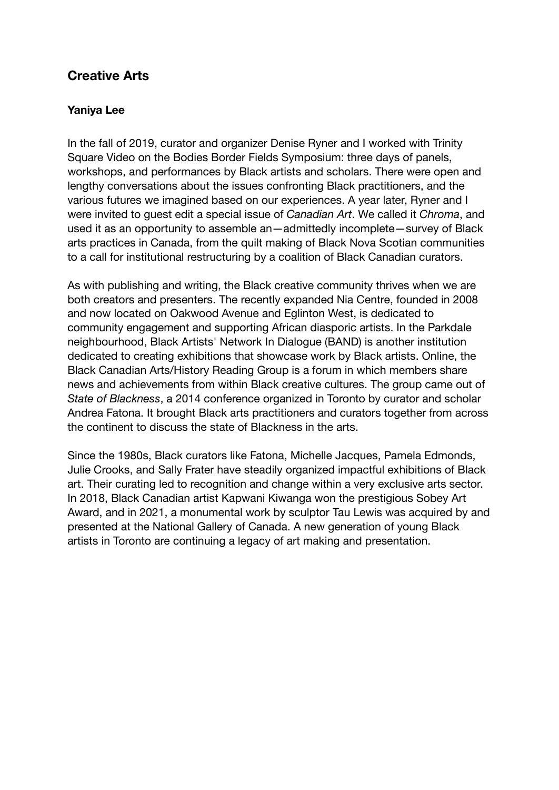## **Creative Arts**

### **Yaniya Lee**

In the fall of 2019, curator and organizer Denise Ryner and I worked with Trinity Square Video on the Bodies Border Fields Symposium: three days of panels, workshops, and performances by Black artists and scholars. There were open and lengthy conversations about the issues confronting Black practitioners, and the various futures we imagined based on our experiences. A year later, Ryner and I were invited to guest edit a special issue of *Canadian Art*. We called it *Chroma*, and used it as an opportunity to assemble an—admittedly incomplete—survey of Black arts practices in Canada, from the quilt making of Black Nova Scotian communities to a call for institutional restructuring by a coalition of Black Canadian curators.

As with publishing and writing, the Black creative community thrives when we are both creators and presenters. The recently expanded Nia Centre, founded in 2008 and now located on Oakwood Avenue and Eglinton West, is dedicated to community engagement and supporting African diasporic artists. In the Parkdale neighbourhood, Black Artists' Network In Dialogue (BAND) is another institution dedicated to creating exhibitions that showcase work by Black artists. Online, the Black Canadian Arts/History Reading Group is a forum in which members share news and achievements from within Black creative cultures. The group came out of *State of Blackness*, a 2014 conference organized in Toronto by curator and scholar Andrea Fatona. It brought Black arts practitioners and curators together from across the continent to discuss the state of Blackness in the arts.

Since the 1980s, Black curators like Fatona, Michelle Jacques, Pamela Edmonds, Julie Crooks, and Sally Frater have steadily organized impactful exhibitions of Black art. Their curating led to recognition and change within a very exclusive arts sector. In 2018, Black Canadian artist Kapwani Kiwanga won the prestigious Sobey Art Award, and in 2021, a monumental work by sculptor Tau Lewis was acquired by and presented at the National Gallery of Canada. A new generation of young Black artists in Toronto are continuing a legacy of art making and presentation.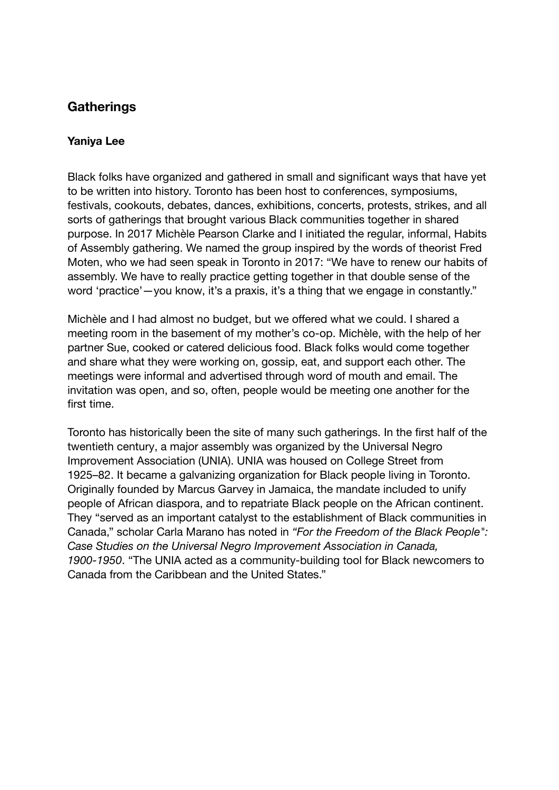### **Gatherings**

#### **Yaniya Lee**

Black folks have organized and gathered in small and significant ways that have yet to be written into history. Toronto has been host to conferences, symposiums, festivals, cookouts, debates, dances, exhibitions, concerts, protests, strikes, and all sorts of gatherings that brought various Black communities together in shared purpose. In 2017 Michèle Pearson Clarke and I initiated the regular, informal, Habits of Assembly gathering. We named the group inspired by the words of theorist Fred Moten, who we had seen speak in Toronto in 2017: "We have to renew our habits of assembly. We have to really practice getting together in that double sense of the word 'practice'—you know, it's a praxis, it's a thing that we engage in constantly."

Michèle and I had almost no budget, but we offered what we could. I shared a meeting room in the basement of my mother's co-op. Michèle, with the help of her partner Sue, cooked or catered delicious food. Black folks would come together and share what they were working on, gossip, eat, and support each other. The meetings were informal and advertised through word of mouth and email. The invitation was open, and so, often, people would be meeting one another for the first time.

Toronto has historically been the site of many such gatherings. In the first half of the twentieth century, a major assembly was organized by the Universal Negro Improvement Association (UNIA). UNIA was housed on College Street from 1925–82. It became a galvanizing organization for Black people living in Toronto. Originally founded by Marcus Garvey in Jamaica, the mandate included to unify people of African diaspora, and to repatriate Black people on the African continent. They "served as an important catalyst to the establishment of Black communities in Canada," scholar Carla Marano has noted in *"For the Freedom of the Black People": Case Studies on the Universal Negro Improvement Association in Canada, 1900-1950*. "The UNIA acted as a community-building tool for Black newcomers to Canada from the Caribbean and the United States."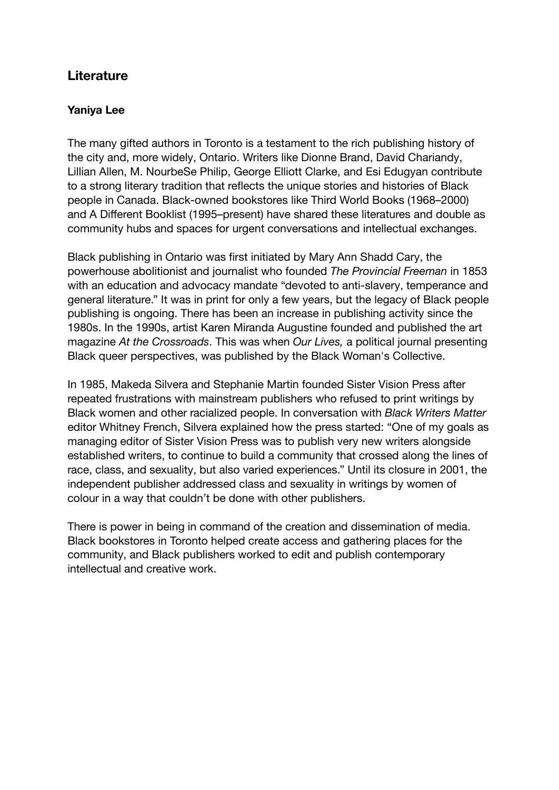### **Literature**

#### **Yaniya Lee**

The many gifted authors in Toronto is a testament to the rich publishing history of the city and, more widely, Ontario. Writers like Dionne Brand, David Chariandy, Lillian Allen, M. NourbeSe Philip, George Elliott Clarke, and Esi Edugyan contribute to a strong literary tradition that reflects the unique stories and histories of Black people in Canada. Black-owned bookstores like Third World Books (1968–2000) and A Different Booklist (1995–present) have shared these literatures and double as community hubs and spaces for urgent conversations and intellectual exchanges.

Black publishing in Ontario was first initiated by Mary Ann Shadd Cary, the powerhouse abolitionist and journalist who founded *The Provincial Freeman* in 1853 with an education and advocacy mandate "devoted to anti-slavery, temperance and general literature." It was in print for only a few years, but the legacy of Black people publishing is ongoing. There has been an increase in publishing activity since the 1980s. In the 1990s, artist Karen Miranda Augustine founded and published the art magazine *At the Crossroads*. This was when *Our Lives,* a political journal presenting Black queer perspectives, was published by the Black Woman's Collective.

In 1985, Makeda Silvera and Stephanie Martin founded Sister Vision Press after repeated frustrations with mainstream publishers who refused to print writings by Black women and other racialized people. In conversation with *Black Writers Matter* editor Whitney French, Silvera explained how the press started: "One of my goals as managing editor of Sister Vision Press was to publish very new writers alongside established writers, to continue to build a community that crossed along the lines of race, class, and sexuality, but also varied experiences." Until its closure in 2001, the independent publisher addressed class and sexuality in writings by women of colour in a way that couldn't be done with other publishers.

There is power in being in command of the creation and dissemination of media. Black bookstores in Toronto helped create access and gathering places for the community, and Black publishers worked to edit and publish contemporary intellectual and creative work.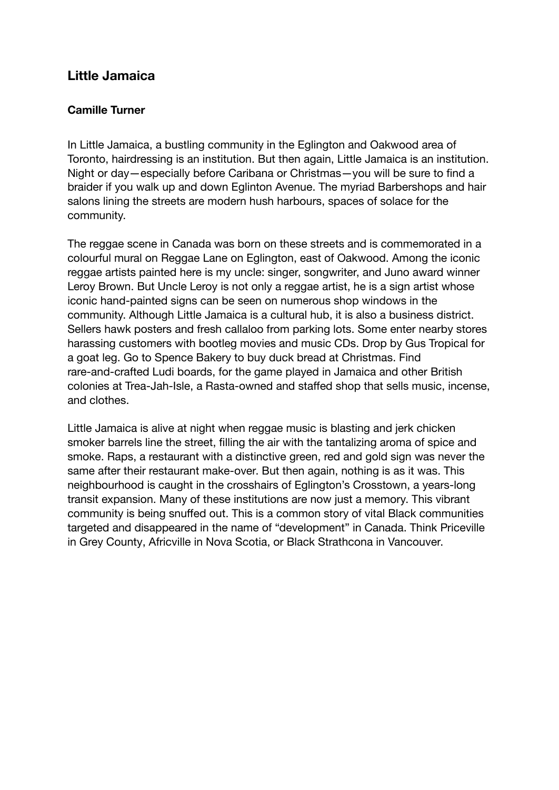### **Little Jamaica**

### **Camille Turner**

In Little Jamaica, a bustling community in the Eglington and Oakwood area of Toronto, hairdressing is an institution. But then again, Little Jamaica is an institution. Night or day—especially before Caribana or Christmas—you will be sure to find a braider if you walk up and down Eglinton Avenue. The myriad Barbershops and hair salons lining the streets are modern hush harbours, spaces of solace for the community.

The reggae scene in Canada was born on these streets and is commemorated in a colourful mural on Reggae Lane on Eglington, east of Oakwood. Among the iconic reggae artists painted here is my uncle: singer, songwriter, and Juno award winner Leroy Brown. But Uncle Leroy is not only a reggae artist, he is a sign artist whose iconic hand-painted signs can be seen on numerous shop windows in the community. Although Little Jamaica is a cultural hub, it is also a business district. Sellers hawk posters and fresh callaloo from parking lots. Some enter nearby stores harassing customers with bootleg movies and music CDs. Drop by Gus Tropical for a goat leg. Go to Spence Bakery to buy duck bread at Christmas. Find rare-and-crafted Ludi boards, for the game played in Jamaica and other British colonies at Trea-Jah-Isle, a Rasta-owned and staffed shop that sells music, incense, and clothes.

Little Jamaica is alive at night when reggae music is blasting and jerk chicken smoker barrels line the street, filling the air with the tantalizing aroma of spice and smoke. Raps, a restaurant with a distinctive green, red and gold sign was never the same after their restaurant make-over. But then again, nothing is as it was. This neighbourhood is caught in the crosshairs of Eglington's Crosstown, a years-long transit expansion. Many of these institutions are now just a memory. This vibrant community is being snuffed out. This is a common story of vital Black communities targeted and disappeared in the name of "development" in Canada. Think Priceville in Grey County, Africville in Nova Scotia, or Black Strathcona in Vancouver.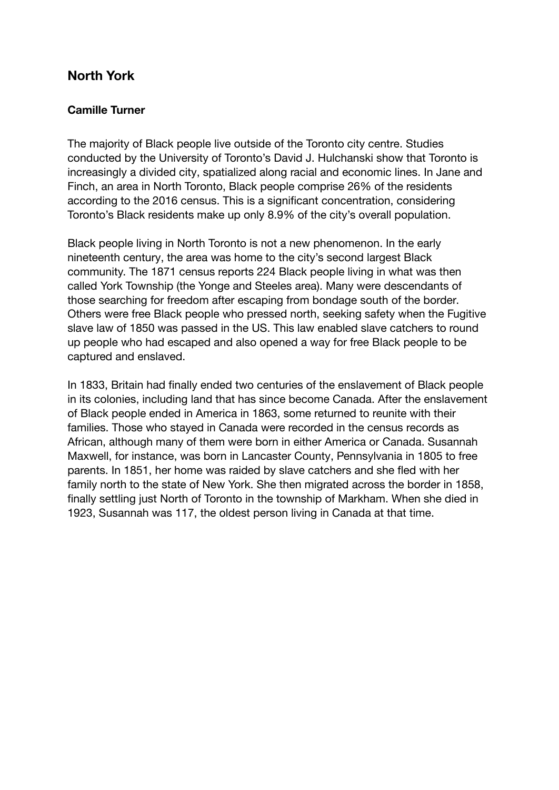### **North York**

### **Camille Turner**

The majority of Black people live outside of the Toronto city centre. Studies conducted by the University of Toronto's David J. Hulchanski show that Toronto is increasingly a divided city, spatialized along racial and economic lines. In Jane and Finch, an area in North Toronto, Black people comprise 26% of the residents according to the 2016 census. This is a significant concentration, considering Toronto's Black residents make up only 8.9% of the city's overall population.

Black people living in North Toronto is not a new phenomenon. In the early nineteenth century, the area was home to the city's second largest Black community. The 1871 census reports 224 Black people living in what was then called York Township (the Yonge and Steeles area). Many were descendants of those searching for freedom after escaping from bondage south of the border. Others were free Black people who pressed north, seeking safety when the Fugitive slave law of 1850 was passed in the US. This law enabled slave catchers to round up people who had escaped and also opened a way for free Black people to be captured and enslaved.

In 1833, Britain had finally ended two centuries of the enslavement of Black people in its colonies, including land that has since become Canada. After the enslavement of Black people ended in America in 1863, some returned to reunite with their families. Those who stayed in Canada were recorded in the census records as African, although many of them were born in either America or Canada. Susannah Maxwell, for instance, was born in Lancaster County, Pennsylvania in 1805 to free parents. In 1851, her home was raided by slave catchers and she fled with her family north to the state of New York. She then migrated across the border in 1858, finally settling just North of Toronto in the township of Markham. When she died in 1923, Susannah was 117, the oldest person living in Canada at that time.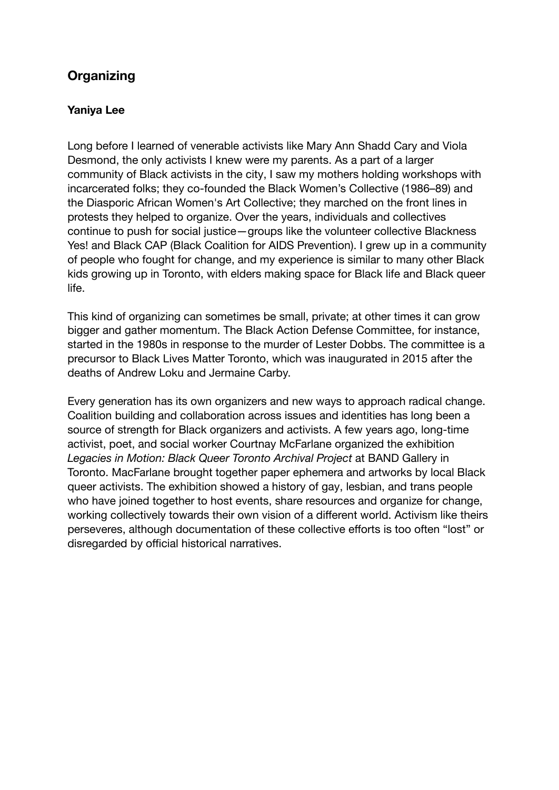## **Organizing**

#### **Yaniya Lee**

Long before I learned of venerable activists like Mary Ann Shadd Cary and Viola Desmond, the only activists I knew were my parents. As a part of a larger community of Black activists in the city, I saw my mothers holding workshops with incarcerated folks; they co-founded the Black Women's Collective (1986–89) and the Diasporic African Women's Art Collective; they marched on the front lines in protests they helped to organize. Over the years, individuals and collectives continue to push for social justice—groups like the volunteer collective Blackness Yes! and Black CAP (Black Coalition for AIDS Prevention). I grew up in a community of people who fought for change, and my experience is similar to many other Black kids growing up in Toronto, with elders making space for Black life and Black queer life.

This kind of organizing can sometimes be small, private; at other times it can grow bigger and gather momentum. The Black Action Defense Committee, for instance, started in the 1980s in response to the murder of Lester Dobbs. The committee is a precursor to Black Lives Matter Toronto, which was inaugurated in 2015 after the deaths of Andrew Loku and Jermaine Carby.

Every generation has its own organizers and new ways to approach radical change. Coalition building and collaboration across issues and identities has long been a source of strength for Black organizers and activists. A few years ago, long-time activist, poet, and social worker Courtnay McFarlane organized the exhibition *Legacies in Motion: Black Queer Toronto Archival Project* at BAND Gallery in Toronto. MacFarlane brought together paper ephemera and artworks by local Black queer activists. The exhibition showed a history of gay, lesbian, and trans people who have joined together to host events, share resources and organize for change, working collectively towards their own vision of a different world. Activism like theirs perseveres, although documentation of these collective efforts is too often "lost" or disregarded by official historical narratives.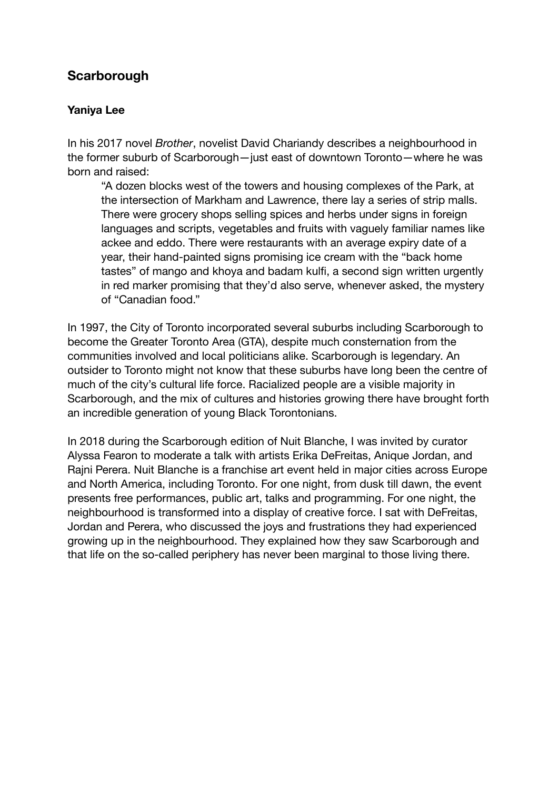## **Scarborough**

### **Yaniya Lee**

In his 2017 novel *Brother*, novelist David Chariandy describes a neighbourhood in the former suburb of Scarborough—just east of downtown Toronto—where he was born and raised:

"A dozen blocks west of the towers and housing complexes of the Park, at the intersection of Markham and Lawrence, there lay a series of strip malls. There were grocery shops selling spices and herbs under signs in foreign languages and scripts, vegetables and fruits with vaguely familiar names like ackee and eddo. There were restaurants with an average expiry date of a year, their hand-painted signs promising ice cream with the "back home tastes" of mango and khoya and badam kulfi, a second sign written urgently in red marker promising that they'd also serve, whenever asked, the mystery of "Canadian food."

In 1997, the City of Toronto incorporated several suburbs including Scarborough to become the Greater Toronto Area (GTA), despite much consternation from the communities involved and local politicians alike. Scarborough is legendary. An outsider to Toronto might not know that these suburbs have long been the centre of much of the city's cultural life force. Racialized people are a visible majority in Scarborough, and the mix of cultures and histories growing there have brought forth an incredible generation of young Black Torontonians.

In 2018 during the Scarborough edition of Nuit Blanche, I was invited by curator Alyssa Fearon to moderate a talk with artists Erika DeFreitas, Anique Jordan, and Rajni Perera. Nuit Blanche is a franchise art event held in major cities across Europe and North America, including Toronto. For one night, from dusk till dawn, the event presents free performances, public art, talks and programming. For one night, the neighbourhood is transformed into a display of creative force. I sat with DeFreitas, Jordan and Perera, who discussed the joys and frustrations they had experienced growing up in the neighbourhood. They explained how they saw Scarborough and that life on the so-called periphery has never been marginal to those living there.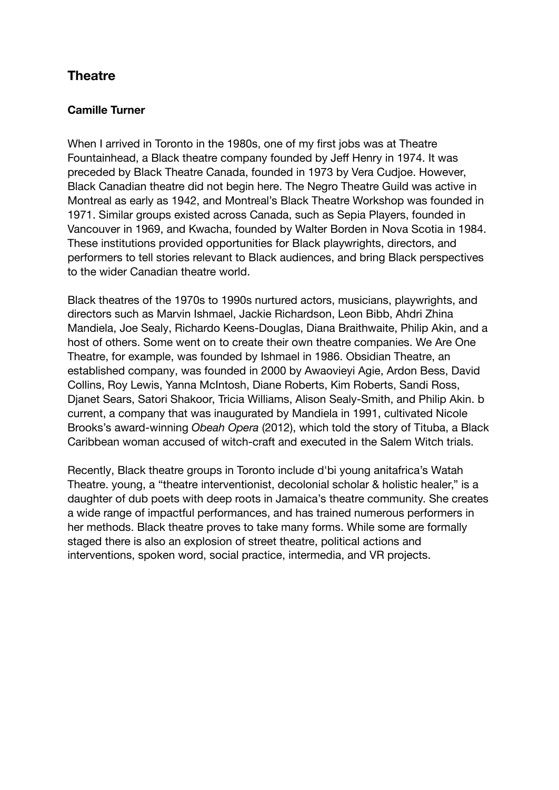## **Theatre**

### **Camille Turner**

When I arrived in Toronto in the 1980s, one of my first jobs was at Theatre Fountainhead, a Black theatre company founded by Jeff Henry in 1974. It was preceded by Black Theatre Canada, founded in 1973 by Vera Cudjoe. However, Black Canadian theatre did not begin here. The Negro Theatre Guild was active in Montreal as early as 1942, and Montreal's Black Theatre Workshop was founded in 1971. Similar groups existed across Canada, such as Sepia Players, founded in Vancouver in 1969, and Kwacha, founded by Walter Borden in Nova Scotia in 1984. These institutions provided opportunities for Black playwrights, directors, and performers to tell stories relevant to Black audiences, and bring Black perspectives to the wider Canadian theatre world.

Black theatres of the 1970s to 1990s nurtured actors, musicians, playwrights, and directors such as Marvin Ishmael, Jackie Richardson, Leon Bibb, Ahdri Zhina Mandiela, Joe Sealy, Richardo Keens-Douglas, Diana Braithwaite, Philip Akin, and a host of others. Some went on to create their own theatre companies. We Are One Theatre, for example, was founded by Ishmael in 1986. Obsidian Theatre, an established company, was founded in 2000 by Awaovieyi Agie, Ardon Bess, David Collins, Roy Lewis, Yanna McIntosh, Diane Roberts, Kim Roberts, Sandi Ross, Djanet Sears, Satori Shakoor, Tricia Williams, Alison Sealy-Smith, and Philip Akin. b current, a company that was inaugurated by Mandiela in 1991, cultivated Nicole Brooks's award-winning *Obeah Opera* (2012), which told the story of Tituba, a Black Caribbean woman accused of witch-craft and executed in the Salem Witch trials.

Recently, Black theatre groups in Toronto include d'bi young anitafrica's Watah Theatre. young, a "theatre interventionist, decolonial scholar & holistic healer," is a daughter of dub poets with deep roots in Jamaica's theatre community. She creates a wide range of impactful performances, and has trained numerous performers in her methods. Black theatre proves to take many forms. While some are formally staged there is also an explosion of street theatre, political actions and interventions, spoken word, social practice, intermedia, and VR projects.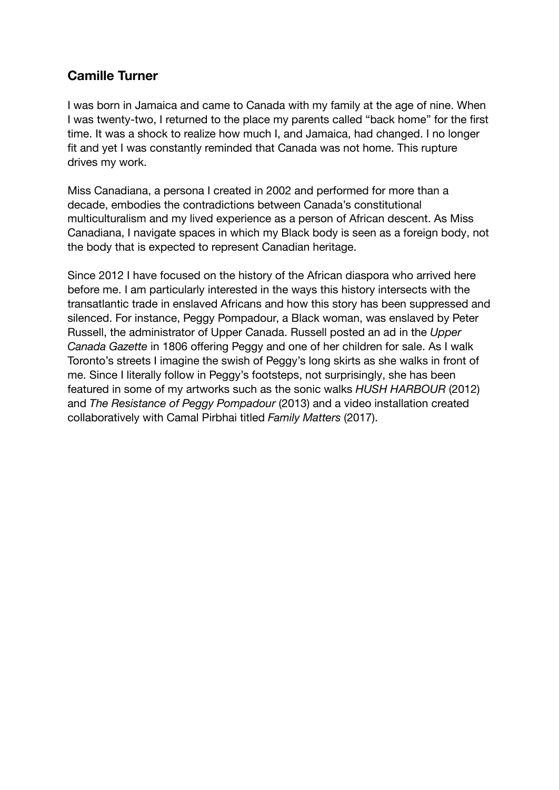## **Camille Turner**

I was born in Jamaica and came to Canada with my family at the age of nine. When I was twenty-two, I returned to the place my parents called "back home" for the first time. It was a shock to realize how much I, and Jamaica, had changed. I no longer fit and yet I was constantly reminded that Canada was not home. This rupture drives my work.

Miss Canadiana, a persona I created in 2002 and performed for more than a decade, embodies the contradictions between Canada's constitutional multiculturalism and my lived experience as a person of African descent. As Miss Canadiana, I navigate spaces in which my Black body is seen as a foreign body, not the body that is expected to represent Canadian heritage.

Since 2012 I have focused on the history of the African diaspora who arrived here before me. I am particularly interested in the ways this history intersects with the transatlantic trade in enslaved Africans and how this story has been suppressed and silenced. For instance, Peggy Pompadour, a Black woman, was enslaved by Peter Russell, the administrator of Upper Canada. Russell posted an ad in the *Upper Canada Gazette* in 1806 offering Peggy and one of her children for sale. As I walk Toronto's streets I imagine the swish of Peggy's long skirts as she walks in front of me. Since I literally follow in Peggy's footsteps, not surprisingly, she has been featured in some of my artworks such as the sonic walks *HUSH HARBOUR* (2012) and *The Resistance of Peggy Pompadour* (2013) and a video installation created collaboratively with Camal Pirbhai titled *Family Matters* (2017).